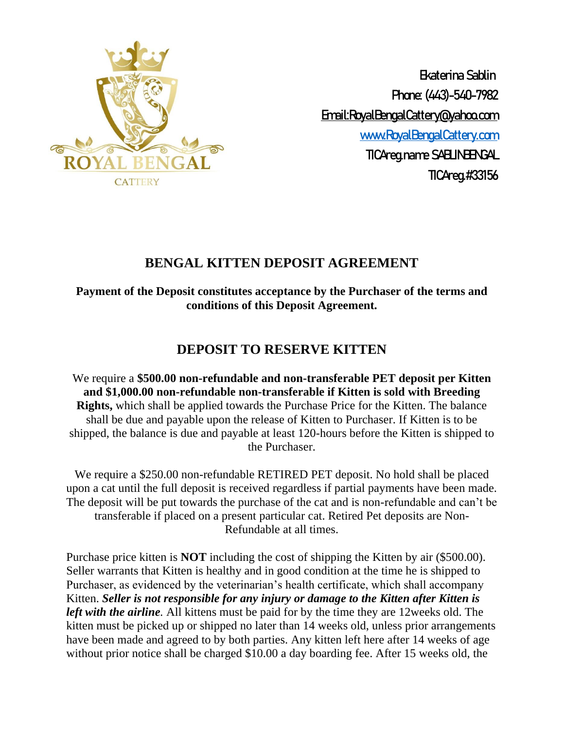

 Ekaterina Sablin Phone: (443)-540-7982 Email:RoyalBengalCattery@yahoo.com [www.RoyalBengalCattery.com](http://www.royalbengalcattery.com/) TICAreg.name SABLINBENGAL TICAreg.#33156

# **BENGAL KITTEN DEPOSIT AGREEMENT**

**Payment of the Deposit constitutes acceptance by the Purchaser of the terms and conditions of this Deposit Agreement.**

## **DEPOSIT TO RESERVE KITTEN**

We require a **\$500.00 non-refundable and non-transferable PET deposit per Kitten and \$1,000.00 non-refundable non-transferable if Kitten is sold with Breeding Rights,** which shall be applied towards the Purchase Price for the Kitten. The balance shall be due and payable upon the release of Kitten to Purchaser. If Kitten is to be shipped, the balance is due and payable at least 120-hours before the Kitten is shipped to the Purchaser.

We require a \$250.00 non-refundable RETIRED PET deposit. No hold shall be placed upon a cat until the full deposit is received regardless if partial payments have been made. The deposit will be put towards the purchase of the cat and is non-refundable and can't be transferable if placed on a present particular cat. Retired Pet deposits are Non-Refundable at all times.

Purchase price kitten is **NOT** including the cost of shipping the Kitten by air (\$500.00). Seller warrants that Kitten is healthy and in good condition at the time he is shipped to Purchaser, as evidenced by the veterinarian's health certificate, which shall accompany Kitten. *Seller is not responsible for any injury or damage to the Kitten after Kitten is left with the airline.* All kittens must be paid for by the time they are 12weeks old. The kitten must be picked up or shipped no later than 14 weeks old, unless prior arrangements have been made and agreed to by both parties. Any kitten left here after 14 weeks of age without prior notice shall be charged \$10.00 a day boarding fee. After 15 weeks old, the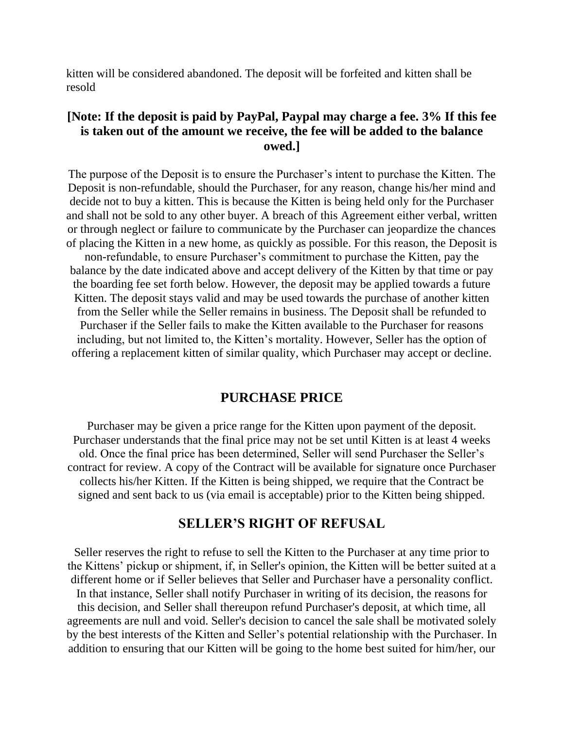kitten will be considered abandoned. The deposit will be forfeited and kitten shall be resold

## **[Note: If the deposit is paid by PayPal, Paypal may charge a fee. 3% If this fee is taken out of the amount we receive, the fee will be added to the balance owed.]**

The purpose of the Deposit is to ensure the Purchaser's intent to purchase the Kitten. The Deposit is non-refundable, should the Purchaser, for any reason, change his/her mind and decide not to buy a kitten. This is because the Kitten is being held only for the Purchaser and shall not be sold to any other buyer. A breach of this Agreement either verbal, written or through neglect or failure to communicate by the Purchaser can jeopardize the chances of placing the Kitten in a new home, as quickly as possible. For this reason, the Deposit is

non-refundable, to ensure Purchaser's commitment to purchase the Kitten, pay the balance by the date indicated above and accept delivery of the Kitten by that time or pay the boarding fee set forth below. However, the deposit may be applied towards a future Kitten. The deposit stays valid and may be used towards the purchase of another kitten from the Seller while the Seller remains in business. The Deposit shall be refunded to Purchaser if the Seller fails to make the Kitten available to the Purchaser for reasons including, but not limited to, the Kitten's mortality. However, Seller has the option of offering a replacement kitten of similar quality, which Purchaser may accept or decline.

#### **PURCHASE PRICE**

Purchaser may be given a price range for the Kitten upon payment of the deposit. Purchaser understands that the final price may not be set until Kitten is at least 4 weeks old. Once the final price has been determined, Seller will send Purchaser the Seller's contract for review. A copy of the Contract will be available for signature once Purchaser collects his/her Kitten. If the Kitten is being shipped, we require that the Contract be signed and sent back to us (via email is acceptable) prior to the Kitten being shipped.

#### **SELLER'S RIGHT OF REFUSAL**

Seller reserves the right to refuse to sell the Kitten to the Purchaser at any time prior to the Kittens' pickup or shipment, if, in Seller's opinion, the Kitten will be better suited at a different home or if Seller believes that Seller and Purchaser have a personality conflict. In that instance, Seller shall notify Purchaser in writing of its decision, the reasons for this decision, and Seller shall thereupon refund Purchaser's deposit, at which time, all agreements are null and void. Seller's decision to cancel the sale shall be motivated solely by the best interests of the Kitten and Seller's potential relationship with the Purchaser. In addition to ensuring that our Kitten will be going to the home best suited for him/her, our